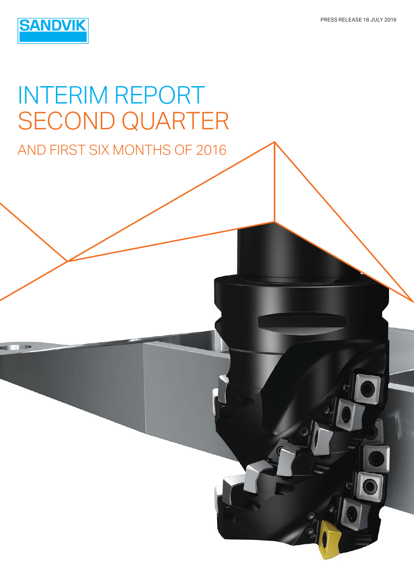

# INTERIM REPORT SECOND QUARTER AND FIRST SIX MONTHS OF 2016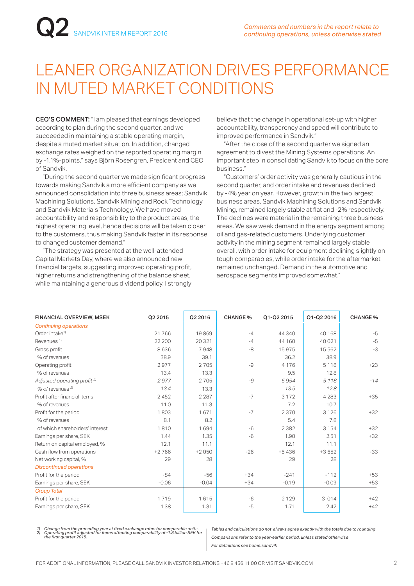## LEANER ORGANIZATION DRIVES PERFORMANCE IN MUTED MARKET CONDITIONS

CEO'S COMMENT: "I am pleased that earnings developed according to plan during the second quarter, and we succeeded in maintaining a stable operating margin, despite a muted market situation. In addition, changed exchange rates weighed on the reported operating margin by -1.1%-points," says Björn Rosengren, President and CEO of Sandvik.

"During the second quarter we made significant progress towards making Sandvik a more efficient company as we announced consolidation into three business areas; Sandvik Machining Solutions, Sandvik Mining and Rock Technology and Sandvik Materials Technology. We have moved accountability and responsibility to the product areas, the highest operating level, hence decisions will be taken closer to the customers, thus making Sandvik faster in its response to changed customer demand."

 "The strategy was presented at the well-attended Capital Markets Day, where we also announced new financial targets, suggesting improved operating profit, higher returns and strengthening of the balance sheet, while maintaining a generous dividend policy. I strongly believe that the change in operational set-up with higher accountability, transparency and speed will contribute to improved performance in Sandvik."

 "After the close of the second quarter we signed an agreement to divest the Mining Systems operations. An important step in consolidating Sandvik to focus on the core business."

 "Customers' order activity was generally cautious in the second quarter, and order intake and revenues declined by -4% year on year. However, growth in the two largest business areas, Sandvik Machining Solutions and Sandvik Mining, remained largely stable at flat and -2% respectively. The declines were material in the remaining three business areas. We saw weak demand in the energy segment among oil and gas-related customers. Underlying customer activity in the mining segment remained largely stable overall, with order intake for equipment declining slightly on tough comparables, while order intake for the aftermarket remained unchanged. Demand in the automotive and aerospace segments improved somewhat."

| <b>FINANCIAL OVERVIEW, MSEK</b>         | Q2 2015 | Q2 2016 | <b>CHANGE %</b> | Q1-Q2 2015 | Q1-Q2 2016 | <b>CHANGE %</b> |
|-----------------------------------------|---------|---------|-----------------|------------|------------|-----------------|
| <b>Continuing operations</b>            |         |         |                 |            |            |                 |
| Order intake <sup>1)</sup>              | 21766   | 19869   | $-4$            | 44 340     | 40 168     | $-5$            |
| Revenues <sup>1)</sup>                  | 22 200  | 20321   | $-4$            | 44 160     | 40 0 21    | $-5$            |
| Gross profit                            | 8636    | 7948    | -8              | 15975      | 15 5 6 2   | $-3$            |
| % of revenues                           | 38.9    | 39.1    |                 | 36.2       | 38.9       |                 |
| Operating profit                        | 2977    | 2705    | -9              | 4 1 7 6    | 5 1 1 8    | $+23$           |
| % of revenues                           | 13.4    | 13.3    |                 | 9.5        | 12.8       |                 |
| Adjusted operating profit <sup>2)</sup> | 2977    | 2705    | $-9$            | 5954       | 5 1 1 8    | $-14$           |
| % of revenues 2)                        | 13.4    | 13.3    |                 | 13.5       | 12.8       |                 |
| Profit after financial items            | 2452    | 2 2 8 7 | $-7$            | 3 1 7 2    | 4 2 8 3    | $+35$           |
| % of revenues                           | 11.0    | 11.3    |                 | 7.2        | 10.7       |                 |
| Profit for the period                   | 1803    | 1671    | $-7$            | 2370       | 3 1 2 6    | $+32$           |
| % of revenues                           | 8.1     | 8.2     |                 | 5.4        | 7.8        |                 |
| of which shareholders' interest         | 1810    | 1694    | $-6$            | 2382       | 3 1 5 4    | $+32$           |
| Earnings per share, SEK                 | 1.44    | 1.35    | $-6$            | 1.90       | 2.51       | $+32$           |
| Return on capital employed, %           | 12.1    | 11.1    |                 | 12.1       | 11.1       |                 |
| Cash flow from operations               | $+2766$ | $+2050$ | $-26$           | $+5436$    | $+3652$    | $-33$           |
| Net working capital, %                  | 29      | 28      |                 | 29         | 28         |                 |
| <b>Discontinued operations</b>          |         |         |                 |            |            |                 |
| Profit for the period                   | $-84$   | $-56$   | $+34$           | $-241$     | $-112$     | $+53$           |
| Earnings per share, SEK                 | $-0.06$ | $-0.04$ | $+34$           | $-0.19$    | $-0.09$    | $+53$           |
| <b>Group Total</b>                      |         |         |                 |            |            |                 |
| Profit for the period                   | 1719    | 1615    | $-6$            | 2 1 2 9    | 3 0 1 4    | $+42$           |
| Earnings per share, SEK                 | 1.38    | 1.31    | $-5$            | 1.71       | 2.42       | $+42$           |

*1) Change from the preceding year at fixed exchange rates for comparable units. 2) Operating profit adjusted for items affecting comparability of -1.8 billion SEK for the first quarter 2015.*

*Tables and calculations do not always agree exactly with the totals due to rounding Comparisons refer to the year-earlier period, unless stated otherwise For definitions see home.sandvik*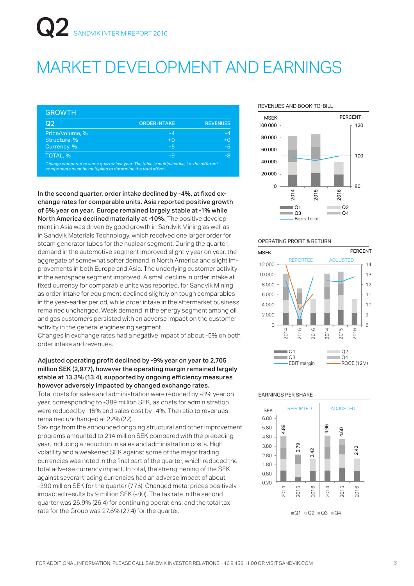## MARKET DEVELOPMENT AND EARNINGS

| Q <sub>2</sub>  | <b>ORDER INTAKE</b> | <b>REVENUES</b> |
|-----------------|---------------------|-----------------|
| Price/volume, % | $-4$                | -4              |
| Structure, %    | $+0$                | $+0$            |
| Currency, %     | -5                  | $-5$            |
| TOTAL, %        | -9                  | -8              |

*components must be multiplied to determine the total effect.*

In the second quarter, order intake declined by -4%, at fixed exchange rates for comparable units. Asia reported positive growth of 5% year on year. Europe remained largely stable at -1% while North America declined materially at -10%. The positive development in Asia was driven by good growth in Sandvik Mining as well as in Sandvik Materials Technology, which received one larger order for steam generator tubes for the nuclear segment. During the quarter, demand in the automotive segment improved slightly year on year, the aggregate of somewhat softer demand in North America and slight improvements in both Europe and Asia. The underlying customer activity in the aerospace segment improved. A small decline in order intake at fixed currency for comparable units was reported, for Sandvik Mining as order intake for equipment declined slightly on tough comparables in the year-earlier period, while order intake in the aftermarket business remained unchanged. Weak demand in the energy segment among oil and gas customers persisted with an adverse impact on the customer activity in the general engineering segment.

Changes in exchange rates had a negative impact of about -5% on both order intake and revenues.

### Adjusted operating profit declined by -9% year on year to 2,705 million SEK (2,977), however the operating margin remained largely stable at 13.3% (13.4), supported by ongoing efficiency measures however adversely impacted by changed exchange rates.

Total costs for sales and administration were reduced by -8% year on year, corresponding to -389 million SEK, as costs for administration were reduced by -15% and sales cost by -4%. The ratio to revenues remained unchanged at 22% (22).

Savings from the announced ongoing structural and other improvement programs amounted to 214 million SEK compared with the preceding year, including a reduction in sales and administration costs. High volatility and a weakened SEK against some of the major trading currencies was noted in the final part of the quarter, which reduced the total adverse currency impact. In total, the strengthening of the SEK against several trading currencies had an adverse impact of about -390 million SEK for the quarter (775). Changed metal prices positively impacted results by 9 million SEK (-80). The tax rate in the second quarter was 26.9% (26.4) for continuing operations, and the total tax rate for the Group was 27.6% (27.4) for the quarter.

#### REVENUES AND BOOK-TO-BILL



#### OPERATING PROFIT & RETURN



#### EARNINGS PER SHARE

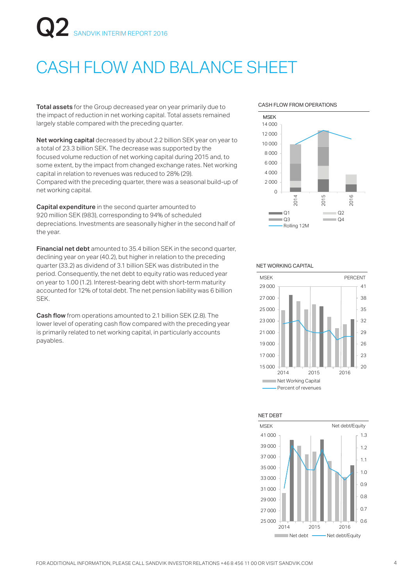# SANDVIK INTERIM REPORT 2016

## CASH FLOW AND BALANCE SHEET

Total assets for the Group decreased year on year primarily due to the impact of reduction in net working capital. Total assets remained largely stable compared with the preceding quarter.

Net working capital decreased by about 2.2 billion SEK year on year to a total of 23.3 billion SEK. The decrease was supported by the focused volume reduction of net working capital during 2015 and, to some extent, by the impact from changed exchange rates. Net working capital in relation to revenues was reduced to 28% (29). Compared with the preceding quarter, there was a seasonal build-up of net working capital.

Capital expenditure in the second quarter amounted to 920 million SEK (983), corresponding to 94% of scheduled depreciations. Investments are seasonally higher in the second half of the year.

Financial net debt amounted to 35.4 billion SEK in the second quarter, declining year on year (40.2), but higher in relation to the preceding quarter (33.2) as dividend of 3.1 billion SEK was distributed in the period. Consequently, the net debt to equity ratio was reduced year on year to 1.00 (1.2). Interest-bearing debt with short-term maturity accounted for 12% of total debt. The net pension liability was 6 billion SEK.

Cash flow from operations amounted to 2.1 billion SEK (2.8). The lower level of operating cash flow compared with the preceding year is primarily related to net working capital, in particularly accounts payables.

#### CASH FLOW FROM OPERATIONS



#### NET WORKING CAPITAL



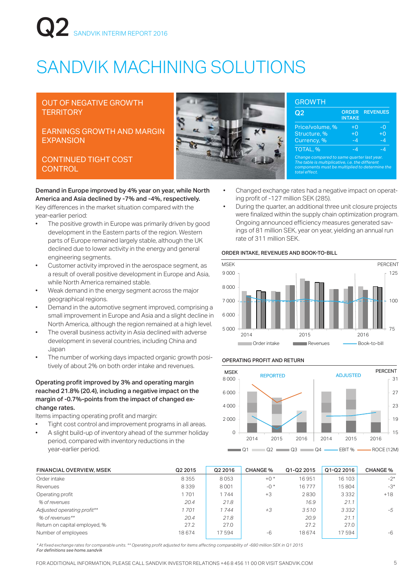# **Q2** SANDVIK INTERIM REPORT 2016

## SANDVIK MACHINING SOLUTIONS

### OUT OF NEGATIVE GROWTH **TERRITORY**

### EARNINGS GROWTH AND MARGIN **EXPANSION**

### CONTINUED TIGHT COST **CONTROL**

Demand in Europe improved by 4% year on year, while North America and Asia declined by -7% and -4%, respectively. Key differences in the market situation compared with the

year-earlier period:

- The positive growth in Europe was primarily driven by good development in the Eastern parts of the region. Western parts of Europe remained largely stable, although the UK declined due to lower activity in the energy and general engineering segments.
- Customer activity improved in the aerospace segment, as a result of overall positive development in Europe and Asia, while North America remained stable.
- Weak demand in the energy segment across the major geographical regions.
- Demand in the automotive segment improved, comprising a small improvement in Europe and Asia and a slight decline in North America, although the region remained at a high level.
- The overall business activity in Asia declined with adverse development in several countries, including China and Japan
- The number of working days impacted organic growth positively of about 2% on both order intake and revenues.

### Operating profit improved by 3% and operating margin reached 21.8% (20.4), including a negative impact on the margin of -0.7%-points from the impact of changed exchange rates.

Items impacting operating profit and margin:

- Tight cost control and improvement programs in all areas.
- A slight build-up of inventory ahead of the summer holiday period, compared with inventory reductions in the year-earlier period.

| Q2                                                                                                                                                               | <b>ORDER</b><br><b>INTAKE</b> | <b>REVENUES</b> |
|------------------------------------------------------------------------------------------------------------------------------------------------------------------|-------------------------------|-----------------|
| Price/volume, %                                                                                                                                                  | $+0$                          | -0              |
| Structure, %                                                                                                                                                     | $\overline{+}0$               | $+0$            |
| Currency, %                                                                                                                                                      | $-4$                          | $-4$            |
| TOTAL, %                                                                                                                                                         | -4                            | $-4$            |
| Change compared to same quarter last year.<br>The table is multiplicative, i.e. the different<br>components must be multiplied to determine the<br>total effect. |                               |                 |

- Changed exchange rates had a negative impact on operating profit of -127 million SEK (285).
- During the quarter, an additional three unit closure projects were finalized within the supply chain optimization program. Ongoing announced efficiency measures generated savings of 81 million SEK, year on year, yielding an annual run rate of 311 million SEK.

### ORDER INTAKE, REVENUES AND BOOK-TO-BILL



### OPERATING PROFIT AND RETURN



| <b>FINANCIAL OVERVIEW, MSEK</b> | Q2 2015 | Q2 2016 | <b>CHANGE %</b> | Q1-Q2 2015 | Q1-Q2 2016 | <b>CHANGE %</b> |
|---------------------------------|---------|---------|-----------------|------------|------------|-----------------|
| Order intake                    | 8355    | 8053    | $+0$ *          | 16951      | 16 103     | $-2^{*}$        |
| Revenues                        | 8339    | 8001    | $-0$ *          | 16777      | 15804      | $-3*$           |
| Operating profit                | 701     | 744     | $+3$            | 2830       | 3332       | $+18$           |
| % of revenues                   | 20.4    | 21.8    |                 | 16.9       | 21.1       |                 |
| Adjusted operating profit**     | 1701    | 1744    | $+3$            | 3510       | 3332       | -5              |
| % of revenues**                 | 20.4    | 21.8    |                 | 20.9       | 21.1       |                 |
| Return on capital employed, %   | 27.2    | 27.0    |                 | 27.2       | 27.0       |                 |
| Number of employees             | 18674   | 17594   | $-6$            | 18674      | 17594      | -6              |

*\* At fixed exchange rates for comparable units. \*\* Operating profit adjusted for items affecting comparability of -680 million SEK in Q1 2015 For definitions see home.sandvik*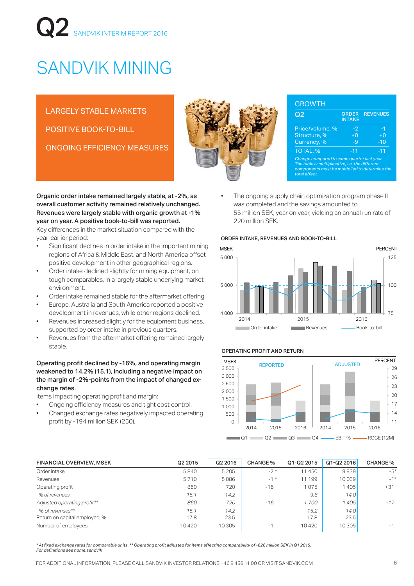# **Q2** SANDVIK INTERIM REPORT 2016

## SANDVIK MINING

LARGELY STABLE MARKETS POSITIVE BOOK-TO-BILL ONGOING EFFICIENCY MEASURES

year-earlier period:

environment.

stable.

change rates.

Organic order intake remained largely stable, at -2%, as overall customer activity remained relatively unchanged. Revenues were largely stable with organic growth at -1% year on year. A positive book-to-bill was reported. Key differences in the market situation compared with the

Significant declines in order intake in the important mining regions of Africa & Middle East, and North America offset positive development in other geographical regions. • Order intake declined slightly for mining equipment, on tough comparables, in a largely stable underlying market

Order intake remained stable for the aftermarket offering. • Europe, Australia and South America reported a positive development in revenues, while other regions declined. Revenues increased slightly for the equipment business,

Revenues from the aftermarket offering remained largely

Operating profit declined by -16%, and operating margin weakened to 14.2% (15.1), including a negative impact on the margin of -2%-points from the impact of changed ex-

Ongoing efficiency measures and tight cost control. • Changed exchange rates negatively impacted operating

Items impacting operating profit and margin:

profit by -194 million SEK (250).

supported by order intake in previous quarters.



| Q2                                                                                                                                                               | <b>ORDER</b><br><b>INTAKE</b> | <b>REVENUES</b> |
|------------------------------------------------------------------------------------------------------------------------------------------------------------------|-------------------------------|-----------------|
| Price/volume, %                                                                                                                                                  | -2                            | -1              |
| Structure, %                                                                                                                                                     | $+0$                          | $+0$            |
| Currency, %                                                                                                                                                      | -9                            | $-10$           |
| TOTAL, %                                                                                                                                                         | $-11$                         | $-11$           |
| Change compared to same quarter last year.<br>The table is multiplicative, i.e. the different<br>components must be multiplied to determine the<br>total effect. |                               |                 |

The ongoing supply chain optimization program phase II was completed and the savings amounted to 55 million SEK, year on year, yielding an annual run rate of 220 million SEK.

#### ORDER INTAKE, REVENUES AND BOOK-TO-BILL



#### OPERATING PROFIT AND RETURN



| <b>FINANCIAL OVERVIEW, MSEK</b> | Q2 2015 | Q2 2016 | <b>CHANGE %</b> | Q1-Q2 2015 | Q1-Q2 2016        | <b>CHANGE</b> % |
|---------------------------------|---------|---------|-----------------|------------|-------------------|-----------------|
| Order intake                    | 5840    | 5 2 0 5 | $-2*$           | 11450      | 9939              | $-5*$           |
| Revenues                        | 5710    | 5086    | $-1$ *          | 11 199     | 10039             | $-1*$           |
| Operating profit                | 860     | 720     | $-16$           | 1075       | 1405              | $+31$           |
| % of revenues                   | 15.1    | 14.2    |                 | 9.6        | 14.0              |                 |
| Adjusted operating profit**     | 860     | 720     | $-16$           | 1700       | 1 405             | $-17$           |
| % of revenues**                 | 15.1    | 14.2    |                 | 15.2       | 14.0              |                 |
| Return on capital employed, %   | 17.8    | 23.5    |                 | 17.8       | 23.5 <sub>1</sub> |                 |
| Number of employees             | 10420   | 10 305  | $-1$            | 10420      | 10 305            | -1              |

*\* At fixed exchange rates for comparable units. \*\* Operating profit adjusted for items affecting comparability of -626 million SEK in Q1 2015. For definitions see home.sandvik*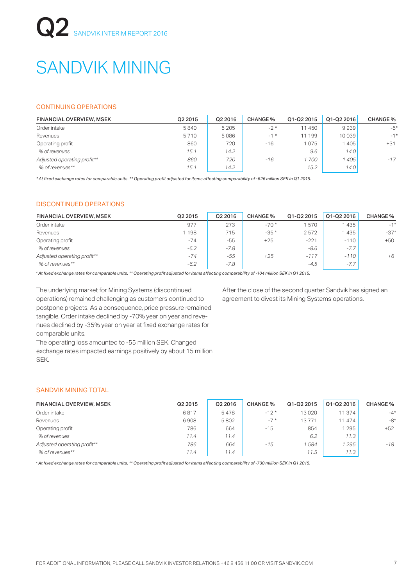## SANDVIK MINING

### CONTINUING OPERATIONS

| <b>FINANCIAL OVERVIEW, MSEK</b> | Q2 2015 | Q2 2016 | <b>CHANGE %</b> | Q1-Q2 2015 | Q1-Q2 2016 | <b>CHANGE</b> % |
|---------------------------------|---------|---------|-----------------|------------|------------|-----------------|
| Order intake                    | 5840    | 5 2 0 5 | $-2*$           | 11450      | 9939       | $-5*$           |
| Revenues                        | 5710    | 5086    | $-1$ *          | 11 199     | 10039      | $-1*$           |
| Operating profit                | 860     | 720     | $-16$           | 075        | 405        | $+31$           |
| % of revenues                   | 15.1    | 14.2    |                 | 9.6        | 14.0       |                 |
| Adjusted operating profit**     | 860     | 720     | $-16$           | 1 700      | 405        | $-17$           |
| % of revenues**                 | 15.1    | 14.2    |                 | 15.2       | 14.0       |                 |

*\* At fixed exchange rates for comparable units. \*\* Operating profit adjusted for items affecting comparability of -626 million SEK in Q1 2015.* 

### DISCONTINUED OPERATIONS

| <b>FINANCIAL OVERVIEW, MSEK</b> | Q2 2015 | Q2 2016 | <b>CHANGE %</b> | Q1-Q2 2015 | Q1-Q2 2016 | <b>CHANGE %</b> |
|---------------------------------|---------|---------|-----------------|------------|------------|-----------------|
| Order intake                    | 977     | 273     | $-70*$          | 570        | 1435       | $-1*$           |
| Revenues                        | 1198    | 715     | $-35*$          | 2572       | 1435       | $-37*$          |
| Operating profit                | $-74$   | $-55$   | $+25$           | $-221$     | $-110$     | $+50$           |
| % of revenues                   | $-6.2$  | $-7.8$  |                 | $-8.6$     | $-7.7$     |                 |
| Adjusted operating profit**     | $-74$   | -55     | $+25$           | $-117$     | $-110$     | $+6$            |
| % of revenues**                 | $-6.2$  | $-7.8$  |                 | $-4.5$     | $-7.7$     |                 |

*\* At fixed exchange rates for comparable units. \*\* Operating profit adjusted for items affecting comparability of -104 million SEK in Q1 2015.* 

The underlying market for Mining Systems (discontinued operations) remained challenging as customers continued to postpone projects. As a consequence, price pressure remained tangible. Order intake declined by -70% year on year and revenues declined by -35% year on year at fixed exchange rates for comparable units.

After the close of the second quarter Sandvik has signed an agreement to divest its Mining Systems operations.

The operating loss amounted to -55 million SEK. Changed exchange rates impacted earnings positively by about 15 million SEK.

### SANDVIK MINING TOTAL

| <b>FINANCIAL OVERVIEW, MSEK</b> | Q2 2015 | Q2 2016 | <b>CHANGE %</b> | Q1-Q2 2015 | Q1-Q2 2016 | <b>CHANGE</b> % |
|---------------------------------|---------|---------|-----------------|------------|------------|-----------------|
| Order intake                    | 6817    | 5478    | $-12*$          | 13020      | 11 374     | $-4*$           |
| Revenues                        | 6908    | 5802    | $-7*$           | 13771      | 11 474     | $-8*$           |
| Operating profit                | 786     | 664     | $-15$           | 854        | 295        | $+52$           |
| % of revenues                   | 11.4    | 11.4    |                 | 6.2        | 11.3       |                 |
| Adjusted operating profit**     | 786     | 664     | $-15$           | 1584       | 1 295      | $-18$           |
| % of revenues**                 | 11.4    | 11.4    |                 | 11.5       | 11.3       |                 |

*\* At fixed exchange rates for comparable units. \*\* Operating profit adjusted for items affecting comparability of -730 million SEK in Q1 2015.*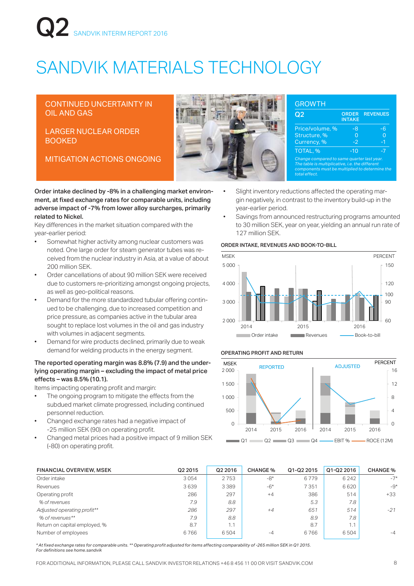# SANDVIK INTERIM REPORT 2016

## SANDVIK MATERIALS TECHNOLOGY

### CONTINUED UNCERTAINTY IN OIL AND GAS

LARGER NUCLEAR ORDER BOOKED

MITIGATION ACTIONS ONGOING *Change compared to same quarter last year.* 



| Q2                                                                                                                                                               | <b>ORDER</b><br><b>INTAKE</b> | <b>REVENUES</b> |
|------------------------------------------------------------------------------------------------------------------------------------------------------------------|-------------------------------|-----------------|
| Price/volume, %                                                                                                                                                  | -8                            | -6              |
| Structure, %                                                                                                                                                     | O                             |                 |
| Currency, %                                                                                                                                                      | $-2$                          | -1              |
| TOTAL, %                                                                                                                                                         | $-10$                         | -7              |
| Change compared to same quarter last year.<br>The table is multiplicative, i.e. the different<br>components must be multiplied to determine the<br>total effect. |                               |                 |

Order intake declined by -8% in a challenging market environment, at fixed exchange rates for comparable units, including adverse impact of -7% from lower alloy surcharges, primarily related to Nickel.

Key differences in the market situation compared with the year-earlier period:

- Somewhat higher activity among nuclear customers was noted. One large order for steam generator tubes was received from the nuclear industry in Asia, at a value of about 200 million SEK.
- Order cancellations of about 90 million SEK were received due to customers re-prioritizing amongst ongoing projects, as well as geo-political reasons.
- Demand for the more standardized tubular offering continued to be challenging, due to increased competition and price pressure, as companies active in the tubular area sought to replace lost volumes in the oil and gas industry with volumes in adiacent segments.
- Demand for wire products declined, primarily due to weak demand for welding products in the energy segment.

### The reported operating margin was 8.8% (7.9) and the underlying operating margin – excluding the impact of metal price  $effects - was 8.5% (10.1).$

Items impacting operating profit and margin:

- The ongoing program to mitigate the effects from the subdued market climate progressed, including continued personnel reduction.
- Changed exchange rates had a negative impact of -25 million SEK (90) on operating profit.
- Changed metal prices had a positive impact of 9 million SEK (-80) on operating profit.
- Slight inventory reductions affected the operating margin negatively, in contrast to the inventory build-up in the year-earlier period.
- Savings from announced restructuring programs amounted to 30 million SEK, year on year, yielding an annual run rate of 127 million SEK.

### ORDER INTAKE, REVENUES AND BOOK-TO-BILL



#### OPERATING PROFIT AND RETURN



| <b>FINANCIAL OVERVIEW, MSEK</b> | Q2 2015 | Q2 2016 | <b>CHANGE %</b> | Q1-Q2 2015 | Q1-Q2 2016 | <b>CHANGE %</b> |
|---------------------------------|---------|---------|-----------------|------------|------------|-----------------|
| Order intake                    | 3054    | 2753    | -8*             | 6779       | 6 2 4 2    | $-7*$           |
| Revenues                        | 3639    | 3 3 8 9 | $-6*$           | 7351       | 6620       | $-9*$           |
| Operating profit                | 286     | 297     | $+4$            | 386        | 514        | $+33$           |
| % of revenues                   | 7.9     | 8.8     |                 | 5.3        | 7.8        |                 |
| Adjusted operating profit**     | 286     | 297     | $+4$            | 651        | 514        | $-21$           |
| % of revenues**                 | 7.9     | 8.8     |                 | 8.9        | 7.8        |                 |
| Return on capital employed, %   | 8.7     | 1.1     |                 | 8.7        | 1.1        |                 |
| Number of employees             | 6766    | 6504    | $-4$            | 6766       | 6504       | $-4$            |
|                                 |         |         |                 |            |            |                 |

*\* At fixed exchange rates for comparable units. \*\* Operating profit adjusted for items affecting comparability of -265 million SEK in Q1 2015. For definitions see home.sandvik*

FOR ADDITIONAL INFORMATION, PLEASE CALL SANDVIK INVESTOR RELATIONS +46 8 456 11 00 OR VISIT SANDVIK.COM 8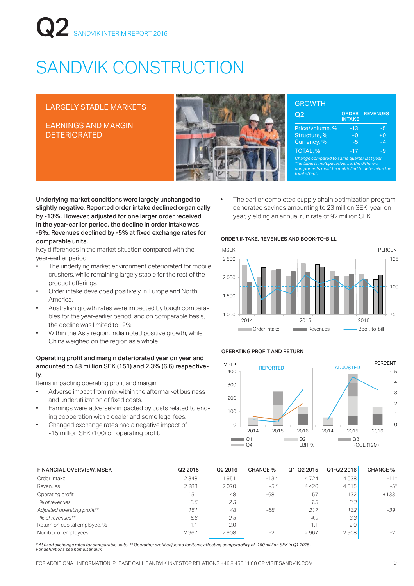# **Q2** SANDVIK INTERIM REPORT 2016

# SANDVIK CONSTRUCTION

### LARGELY STABLE MARKETS

EARNINGS AND MARGIN DETERIORATED



| Q2                                                                                                                                                               | <b>ORDER</b><br><b>INTAKE</b> | <b>REVENUES</b> |
|------------------------------------------------------------------------------------------------------------------------------------------------------------------|-------------------------------|-----------------|
| Price/volume, %                                                                                                                                                  | $-13$                         | -5              |
| Structure, %                                                                                                                                                     | $\overline{+}0$               | $+0$            |
| Currency, %                                                                                                                                                      | -5                            | -4              |
| TOTAL, %                                                                                                                                                         | $-17$                         | -9              |
| Change compared to same quarter last year.<br>The table is multiplicative, i.e. the different<br>components must be multiplied to determine the<br>total effect. |                               |                 |

Underlying market conditions were largely unchanged to slightly negative. Reported order intake declined organically by -13%. However, adjusted for one larger order received in the year-earlier period, the decline in order intake was -6%. Revenues declined by -5% at fixed exchange rates for comparable units.

Key differences in the market situation compared with the year-earlier period:

- The underlying market environment deteriorated for mobile crushers, while remaining largely stable for the rest of the product offerings.
- Order intake developed positively in Europe and North America.
- Australian growth rates were impacted by tough comparables for the year-earlier period, and on comparable basis, the decline was limited to -2%.
- Within the Asia region, India noted positive growth, while China weighed on the region as a whole.

### Operating profit and margin deteriorated year on year and amounted to 48 million SEK (151) and 2.3% (6.6) respectively.

Items impacting operating profit and margin:

- Adverse impact from mix within the aftermarket business and underutilization of fixed costs.
- Earnings were adversely impacted by costs related to ending cooperation with a dealer and some legal fees.
- Changed exchange rates had a negative impact of -15 million SEK (100) on operating profit.

The earlier completed supply chain optimization program generated savings amounting to 23 million SEK, year on year, yielding an annual run rate of 92 million SEK.

### ORDER INTAKE, REVENUES AND BOOK-TO-BILL



### OPERATING PROFIT AND RETURN



| <b>FINANCIAL OVERVIEW, MSEK</b> | Q2 2015 | Q2 2016 | <b>CHANGE %</b> | Q1-Q2 2015 | Q1-Q2 2016       | <b>CHANGE %</b> |
|---------------------------------|---------|---------|-----------------|------------|------------------|-----------------|
| Order intake                    | 2 3 4 8 | 1951    | $-13*$          | 4724       | 4038             | $-11*$          |
| Revenues                        | 2 2 8 3 | 2070    | $-5*$           | 4426       | 4015             | $-5*$           |
| Operating profit                | 151     | 48      | $-68$           | 57         | 132 <sub>1</sub> | $+133$          |
| % of revenues                   | 6.6     | 2.3     |                 | 1.3        | 3.3              |                 |
| Adjusted operating profit**     | 151     | 48      | -68             | 217        | 132              | $-39$           |
| % of revenues**                 | 6.6     | 2.3     |                 | 4.9        | 3.3              |                 |
| Return on capital employed, %   | 1.1     | 2.0     |                 | 1.1        | 2.01             |                 |
| Number of employees             | 2967    | 2908    | $-2$            | 2967       | 2908             | $-2$            |
|                                 |         |         |                 |            |                  |                 |

*\* At fixed exchange rates for comparable units. \*\* Operating profit adjusted for items affecting comparability of -160 million SEK in Q1 2015. For definitions see home.sandvik*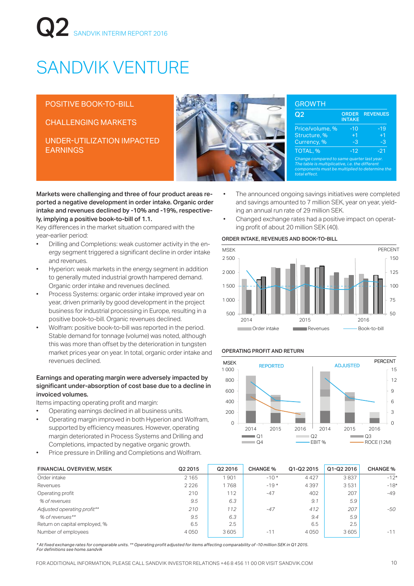# SANDVIK INTERIM REPORT 2016

# SANDVIK VENTURE

POSITIVE BOOK-TO-BILL

CHALLENGING MARKETS

UNDER-UTILIZATION IMPACTED EARNINGS



| Q2                                                                                                                                                               | <b>ORDER</b><br><b>INTAKE</b> | <b>REVENUES</b> |
|------------------------------------------------------------------------------------------------------------------------------------------------------------------|-------------------------------|-----------------|
| Price/volume, %                                                                                                                                                  | $-10$                         | $-19$           |
| Structure, %                                                                                                                                                     | $+1$                          | $+1$            |
| Currency, %                                                                                                                                                      | -3                            | -3              |
| TOTAL, %                                                                                                                                                         | $-12$                         | $-21$           |
| Change compared to same quarter last year.<br>The table is multiplicative, i.e. the different<br>components must be multiplied to determine the<br>total effect. |                               |                 |

Markets were challenging and three of four product areas reported a negative development in order intake. Organic order intake and revenues declined by -10% and -19%, respectively, implying a positive book-to-bill of 1.1.

Key differences in the market situation compared with the year-earlier period:

- Drilling and Completions: weak customer activity in the energy segment triggered a significant decline in order intake and revenues.
- Hyperion: weak markets in the energy segment in addition to generally muted industrial growth hampered demand. Organic order intake and revenues declined.
- Process Systems: organic order intake improved year on year, driven primarily by good development in the project business for industrial processing in Europe, resulting in a positive book-to-bill. Organic revenues declined.
- Wolfram: positive book-to-bill was reported in the period. Stable demand for tonnage (volume) was noted, although this was more than offset by the deterioration in tungsten market prices year on year. In total, organic order intake and revenues declined.

### Earnings and operating margin were adversely impacted by significant under-absorption of cost base due to a decline in invoiced volumes.

Items impacting operating profit and margin:

- Operating earnings declined in all business units.
- Operating margin improved in both Hyperion and Wolfram, supported by efficiency measures. However, operating margin deteriorated in Process Systems and Drilling and Completions, impacted by negative organic growth.
- Price pressure in Drilling and Completions and Wolfram.
- The announced ongoing savings initiatives were completed and savings amounted to 7 million SEK, year on year, yielding an annual run rate of 29 million SEK.
	- Changed exchange rates had a positive impact on operating profit of about 20 million SEK (40).

### ORDER INTAKE, REVENUES AND BOOK-TO-BILL



### OPERATING PROFIT AND RETURN



| <b>FINANCIAL OVERVIEW, MSEK</b> | Q2 2015 | Q2 2016 | <b>CHANGE %</b> | Q1-Q2 2015 | Q1-Q2 2016 | <b>CHANGE %</b> |
|---------------------------------|---------|---------|-----------------|------------|------------|-----------------|
| Order intake                    | 2 1 6 5 | 901     | $-10*$          | 4427       | 3837       | $-12*$          |
| Revenues                        | 2 2 2 6 | 1768    | $-19*$          | 4397       | 3531       | $-18*$          |
| Operating profit                | 210     | 112     | $-47$           | 402        | 207        | $-49$           |
| % of revenues                   | 9.5     | 6.3     |                 | 9.1        | 5.9        |                 |
| Adjusted operating profit**     | 210     | 112     | $-47$           | 412        | 207        | -50             |
| % of revenues**                 | 9.5     | 6.3     |                 | 9.4        | 5.9        |                 |
| Return on capital employed, %   | 6.5     | 2.5     |                 | 6.5        | 2.5        |                 |
| Number of employees             | 4050    | 3605    | $-11$           | 4050       | 3605       | $-11$           |
|                                 |         |         |                 |            |            |                 |

*\* At fixed exchange rates for comparable units. \*\* Operating profit adjusted for items affecting comparability of -10 million SEK in Q1 2015. For definitions see home.sandvik*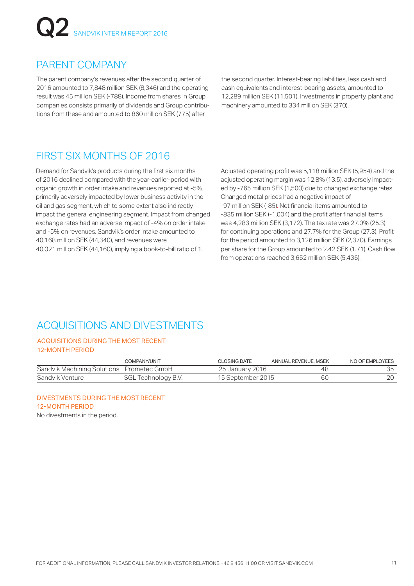# **Q2** SANDVIK INTERIM REPORT 2016

### PARENT COMPANY

The parent company's revenues after the second quarter of 2016 amounted to 7,848 million SEK (8,346) and the operating result was 45 million SEK (-788). Income from shares in Group companies consists primarily of dividends and Group contributions from these and amounted to 860 million SEK (775) after

the second quarter. Interest-bearing liabilities, less cash and cash equivalents and interest-bearing assets, amounted to 12,289 million SEK (11,501). Investments in property, plant and machinery amounted to 334 million SEK (370).

### FIRST SIX MONTHS OF 2016

Demand for Sandvik's products during the first six months of 2016 declined compared with the year-earlier-period with organic growth in order intake and revenues reported at -5%, primarily adversely impacted by lower business activity in the oil and gas segment, which to some extent also indirectly impact the general engineering segment. Impact from changed exchange rates had an adverse impact of -4% on order intake and -5% on revenues. Sandvik's order intake amounted to 40,168 million SEK (44,340), and revenues were 40,021 million SEK (44,160), implying a book-to-bill ratio of 1.

Adjusted operating profit was 5,118 million SEK (5,954) and the adjusted operating margin was 12.8% (13.5), adversely impacted by -765 million SEK (1,500) due to changed exchange rates. Changed metal prices had a negative impact of -97 million SEK (-85). Net financial items amounted to -835 million SEK (-1,004) and the profit after financial items was 4,283 million SEK (3,172). The tax rate was 27.0% (25.3) for continuing operations and 27.7% for the Group (27.3). Profit for the period amounted to 3,126 million SEK (2,370). Earnings per share for the Group amounted to 2.42 SEK (1.71). Cash flow from operations reached 3,652 million SEK (5,436).

### ACQUISITIONS AND DIVESTMENTS

### ACQUISITIONS DURING THE MOST RECENT 12-MONTH PERIOD

|                                           | COMPANY/UNIT        | CLOSING DATE      | ANNUAL REVENUE, MSEK | NO OF EMPLOYEES |
|-------------------------------------------|---------------------|-------------------|----------------------|-----------------|
| Sandvik Machining Solutions Prometec GmbH |                     | 25 January 2016   | 48                   |                 |
| Sandvik Venture                           | SGL Technology B.V. | 15 September 2015 | 6C                   |                 |

DIVESTMENTS DURING THE MOST RECENT 12-MONTH PERIOD No divestments in the period.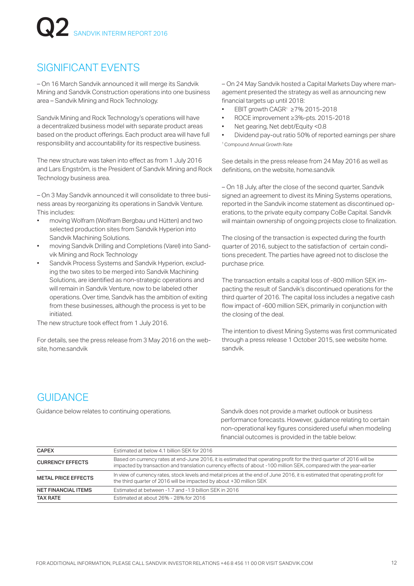### SIGNIFICANT EVENTS

– On 16 March Sandvik announced it will merge its Sandvik Mining and Sandvik Construction operations into one business area – Sandvik Mining and Rock Technology.

Sandvik Mining and Rock Technology's operations will have a decentralized business model with separate product areas based on the product offerings. Each product area will have full responsibility and accountability for its respective business.

The new structure was taken into effect as from 1 July 2016 and Lars Engström, is the President of Sandvik Mining and Rock Technology business area.

– On 3 May Sandvik announced it will consolidate to three business areas by reorganizing its operations in Sandvik Venture. This includes:

- moving Wolfram (Wolfram Bergbau und Hütten) and two selected production sites from Sandvik Hyperion into Sandvik Machining Solutions.
- moving Sandvik Drilling and Completions (Varel) into Sandvik Mining and Rock Technology
- Sandvik Process Systems and Sandvik Hyperion, excluding the two sites to be merged into Sandvik Machining Solutions, are identified as non-strategic operations and will remain in Sandvik Venture, now to be labeled other operations. Over time, Sandvik has the ambition of exiting from these businesses, although the process is yet to be initiated.

The new structure took effect from 1 July 2016.

For details, see the press release from 3 May 2016 on the website, home.sandvik

– On 24 May Sandvik hosted a Capital Markets Day where management presented the strategy as well as announcing new financial targets up until 2018:

- EBIT growth CAGR1 ≥7% 2015-2018
- ROCE improvement ≥3%-pts. 2015-2018
- Net gearing, Net debt/Equity <0.8
- Dividend pay-out ratio 50% of reported earnings per share 1 Compound Annual Growth Rate

See details in the press release from 24 May 2016 as well as definitions, on the website, home.sandvik

– On 18 July, after the close of the second quarter, Sandvik signed an agreement to divest its Mining Systems operations, reported in the Sandvik income statement as discontinued operations, to the private equity company CoBe Capital. Sandvik will maintain ownership of ongoing projects close to finalization.

The closing of the transaction is expected during the fourth quarter of 2016, subject to the satisfaction of certain conditions precedent. The parties have agreed not to disclose the purchase price.

The transaction entails a capital loss of -800 million SEK impacting the result of Sandvik's discontinued operations for the third quarter of 2016. The capital loss includes a negative cash flow impact of -600 million SEK, primarily in conjunction with the closing of the deal.

The intention to divest Mining Systems was first communicated through a press release 1 October 2015, see website home. sandvik.

## **GUIDANCE**

Guidance below relates to continuing operations. Sandvik does not provide a market outlook or business performance forecasts. However, guidance relating to certain non-operational key figures considered useful when modeling financial outcomes is provided in the table below:

| <b>CAPEX</b>               | Estimated at below 4.1 billion SEK for 2016                                                                                                                                                                                                 |
|----------------------------|---------------------------------------------------------------------------------------------------------------------------------------------------------------------------------------------------------------------------------------------|
| <b>CURRENCY EFFECTS</b>    | Based on currency rates at end-June 2016, it is estimated that operating profit for the third quarter of 2016 will be<br>impacted by transaction and translation currency effects of about -100 million SEK, compared with the year-earlier |
| <b>METAL PRICE EFFECTS</b> | In view of currency rates, stock levels and metal prices at the end of June 2016, it is estimated that operating profit for<br>the third quarter of 2016 will be impacted by about +30 million SEK                                          |
| <b>NET FINANCIAL ITEMS</b> | Estimated at between -1.7 and -1.9 billion SEK in 2016                                                                                                                                                                                      |
| <b>TAX RATE</b>            | Estimated at about 26% - 28% for 2016                                                                                                                                                                                                       |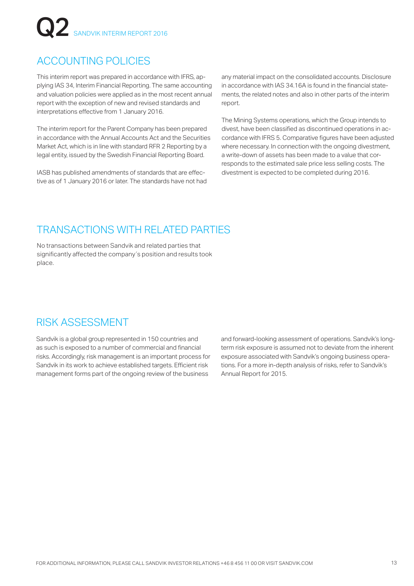## ACCOUNTING POLICIES

This interim report was prepared in accordance with IFRS, applying IAS 34, Interim Financial Reporting. The same accounting and valuation policies were applied as in the most recent annual report with the exception of new and revised standards and interpretations effective from 1 January 2016.

The interim report for the Parent Company has been prepared in accordance with the Annual Accounts Act and the Securities Market Act, which is in line with standard RFR 2 Reporting by a legal entity, issued by the Swedish Financial Reporting Board.

IASB has published amendments of standards that are effective as of 1 January 2016 or later. The standards have not had any material impact on the consolidated accounts. Disclosure in accordance with IAS 34.16A is found in the financial statements, the related notes and also in other parts of the interim report.

The Mining Systems operations, which the Group intends to divest, have been classified as discontinued operations in accordance with IFRS 5. Comparative figures have been adjusted where necessary. In connection with the ongoing divestment, a write-down of assets has been made to a value that corresponds to the estimated sale price less selling costs. The divestment is expected to be completed during 2016.

### TRANSACTIONS WITH RELATED PARTIES

No transactions between Sandvik and related parties that significantly affected the company's position and results took place.

### RISK ASSESSMENT

Sandvik is a global group represented in 150 countries and as such is exposed to a number of commercial and financial risks. Accordingly, risk management is an important process for Sandvik in its work to achieve established targets. Efficient risk management forms part of the ongoing review of the business

and forward-looking assessment of operations. Sandvik's longterm risk exposure is assumed not to deviate from the inherent exposure associated with Sandvik's ongoing business operations. For a more in-depth analysis of risks, refer to Sandvik's Annual Report for 2015.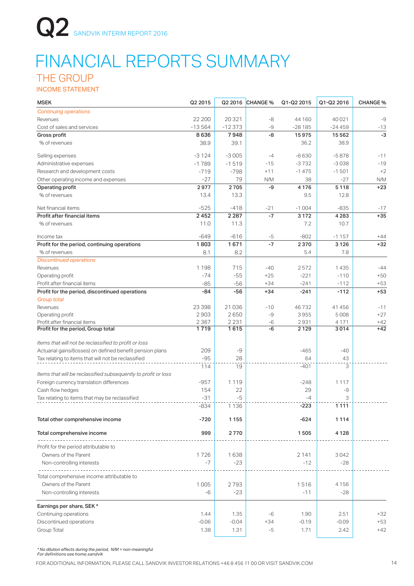## FINANCIAL REPORTS SUMMARY

## THE GROUP

INCOME STATEMENT

| <b>MSEK</b>                                                    | Q2 2015  |          | Q2 2016 CHANGE % | Q1-Q2 2015 | Q1-Q2 2016 | <b>CHANGE %</b> |
|----------------------------------------------------------------|----------|----------|------------------|------------|------------|-----------------|
| <b>Continuing operations</b>                                   |          |          |                  |            |            |                 |
| Revenues                                                       | 22 200   | 20321    | -8               | 44 160     | 40 0 21    | -9              |
| Cost of sales and services                                     | $-13564$ | $-12373$ | -9               | $-28185$   | $-24459$   | $-13$           |
| Gross profit                                                   | 8636     | 7948     | -8               | 15975      | 15 5 6 2   | $-3$            |
| % of revenues                                                  | 38.9     | 39.1     |                  | 36.2       | 38.9       |                 |
| Selling expenses                                               | $-3124$  | $-3005$  | $-4$             | $-6630$    | $-5878$    | -11             |
| Administrative expenses                                        | $-1789$  | $-1519$  | $-15$            | $-3732$    | $-3038$    | $-19$           |
| Research and development costs                                 | $-719$   | $-798$   | $+11$            | $-1475$    | $-1501$    | $+2$            |
| Other operating income and expenses                            | $-27$    | 79       | N/M              | 38         | $-27$      | N/M             |
| Operating profit                                               | 2977     | 2705     | -9               | 4 1 7 6    | 5118       | $+23$           |
| % of revenues                                                  | 13.4     | 13.3     |                  | 9.5        | 12.8       |                 |
| Net financial items                                            | $-525$   | $-418$   | $-21$            | $-1004$    | $-835$     | $-17$           |
| Profit after financial items                                   | 2452     | 2 2 8 7  | $-7$             | 3 1 7 2    | 4 2 8 3    | $+35$           |
| % of revenues                                                  | 11.0     | 11.3     |                  | 7.2        | 10.7       |                 |
| Income tax                                                     | $-649$   | $-616$   | $-5$             | $-802$     | $-1157$    | $+44$           |
| Profit for the period, continuing operations                   | 1803     | 1671     | $-7$             | 2370       | 3 1 2 6    | $+32$           |
| % of revenues                                                  | 8.1      | 8.2      |                  | 5.4        | 7.8        |                 |
| <b>Discontinued operations</b>                                 |          |          |                  |            |            |                 |
| Revenues                                                       | 1198     | 715      | $-40$            | 2572       | 1435       | $-44$           |
| Operating profit                                               | $-74$    | $-55$    | $+25$            | $-221$     | $-110$     | $+50$           |
| Profit after financial items                                   | $-85$    | $-56$    | $+34$            | $-241$     | $-112$     | $+53$           |
| Profit for the period, discontinued operations                 | -84      | -56      | $+34$            | $-241$     | $-112$     | $+53$           |
| <b>Group total</b>                                             |          |          |                  |            |            |                 |
| Revenues                                                       | 23 398   | 21 0 36  | $-10$            | 46732      | 41 456     | $-11$           |
| Operating profit                                               | 2903     | 2650     | -9               | 3955       | 5008       | $+27$           |
| Profit after financial items                                   | 2 3 6 7  | 2 2 3 1  | $-6$             | 2931       | 4 1 7 1    | $+42$           |
| Profit for the period, Group total                             | 1719     | 1615     | -6               | 2 1 2 9    | 3014       | $+42$           |
| Items that will not be reclassified to profit or loss          |          |          |                  |            |            |                 |
| Actuarial gains/(losses) on defined benefit pension plans      | 209      | -9       |                  | $-465$     | $-40$      |                 |
| Tax relating to items that will not be reclassified            | $-95$    | 28       |                  | 64         | 43         |                 |
|                                                                | 114      | 19       |                  | $-401$     | 3          |                 |
| Items that will be reclassified subsequently to profit or loss |          |          |                  |            |            |                 |
| Foreign currency translation differences                       | $-957$   | 1 1 1 9  |                  | $-248$     | 1 1 1 7    |                 |
| Cash flow hedges                                               | 154      | 22       |                  | 29         | -9         |                 |
| Tax relating to items that may be reclassified                 | $-31$    | $-5$     |                  | $-4$       | 3          |                 |
|                                                                | $-834$   | 1 1 3 6  |                  | $-223$     | 1111       |                 |
| Total other comprehensive income                               | $-720$   | 1155     |                  | $-624$     | 1114       |                 |
| Total comprehensive income                                     | 999      | 2770     |                  | 1505       | 4 1 2 8    |                 |
| Profit for the period attributable to                          |          |          |                  |            |            |                 |
| Owners of the Parent                                           | 1726     | 1638     |                  | 2 141      | 3042       |                 |
| Non-controlling interests                                      | $-7$     | $-23$    |                  | $-12$      | $-28$      |                 |
|                                                                |          |          |                  |            |            |                 |
| Total comprehensive income attributable to                     |          |          |                  |            |            |                 |
| Owners of the Parent                                           | 1005     | 2793     |                  | 1516       | 4 1 5 6    |                 |
| Non-controlling interests                                      | $-6$     | $-23$    |                  | $-11$      | $-28$      |                 |
|                                                                |          |          |                  |            |            |                 |
| Earnings per share, SEK *                                      |          |          |                  |            |            |                 |
| Continuing operations                                          | 1.44     | 1.35     | $-6$             | 1.90       | 2.51       | $+32$           |
| Discontinued operations                                        | $-0.06$  | $-0.04$  | $+34$            | $-0.19$    | $-0.09$    | $+53$           |
| Group Total                                                    | 1.38     | 1.31     | -5               | 1.71       | 2.42       | $+42$           |

*\* No dilution effects during the period, N/M = non-meaningful For definitions see home.sandvik*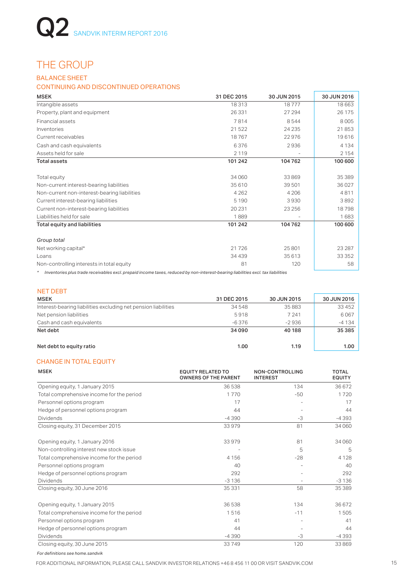## THE GROUP

### BALANCE SHEET

### CONTINUING AND DISCONTINUED OPERATIONS

| <b>MSEK</b>                                  | 31 DEC 2015 | 30 JUN 2015 | 30 JUN 2016 |
|----------------------------------------------|-------------|-------------|-------------|
| Intangible assets                            | 18313       | 18777       | 18663       |
| Property, plant and equipment                | 26 331      | 27 294      | 26 175      |
| Financial assets                             | 7814        | 8544        | 8005        |
| Inventories                                  | 21522       | 24 235      | 21853       |
| Current receivables                          | 18767       | 22976       | 19616       |
| Cash and cash equivalents                    | 6376        | 2936        | 4 1 3 4     |
| Assets held for sale                         | 2 1 1 9     |             | 2 1 5 4     |
| <b>Total assets</b>                          | 101 242     | 104762      | 100 600     |
| Total equity                                 | 34 060      | 33869       | 35 389      |
| Non-current interest-bearing liabilities     | 35 610      | 39 501      | 36 0 27     |
| Non-current non-interest-bearing liabilities | 4 2 6 2     | 4 2 0 6     | 4811        |
| Current interest-bearing liabilities         | 5 1 9 0     | 3930        | 3892        |
| Current non-interest-bearing liabilities     | 20 231      | 23 25 6     | 18798       |
| Liabilities held for sale                    | 1889        |             | 1683        |
| Total equity and liabilities                 | 101 242     | 104762      | 100 600     |
| Group total                                  |             |             |             |
| Net working capital*                         | 21726       | 25 801      | 23 287      |
| Loans                                        | 34 4 39     | 35 613      | 33 352      |
| Non-controlling interests in total equity    | 81          | 120         | 58          |
|                                              |             |             |             |

*\* Inventories plus trade receivables excl. prepaid income taxes, reduced by non-interest-bearing liabilities excl. tax liabilities*

|  |  | n e s | . . |
|--|--|-------|-----|
|  |  |       |     |

| <b>MSEK</b>                                                    | 31 DEC 2015 | 30 JUN 2015 | 30 JUN 2016 |
|----------------------------------------------------------------|-------------|-------------|-------------|
| Interest-bearing liabilities excluding net pension liabilities | 34 548      | 35883       | 33 452      |
| Net pension liabilities                                        | 5918        | 7 2 4 1     | 6067        |
| Cash and cash equivalents                                      | $-6.376$    | $-2936$     | $-4134$     |
| Net debt                                                       | 34090       | 40 188      | 35 385      |
| Net debt to equity ratio                                       | 1.00        | 1.19        | 1.00        |

### CHANGE IN TOTAL EQUITY

| <b>MSEK</b>                               | <b>EQUITY RELATED TO</b><br><b>OWNERS OF THE PARENT</b> | <b>NON-CONTROLLING</b><br><b>INTEREST</b> | <b>TOTAL</b><br><b>EQUITY</b> |
|-------------------------------------------|---------------------------------------------------------|-------------------------------------------|-------------------------------|
| Opening equity, 1 January 2015            | 36538                                                   | 134                                       | 36 672                        |
| Total comprehensive income for the period | 1770                                                    | $-50$                                     | 1720                          |
| Personnel options program                 | 17                                                      |                                           | 17                            |
| Hedge of personnel options program        | 44                                                      |                                           | 44                            |
| <b>Dividends</b>                          | $-4390$                                                 | -3                                        | $-4393$                       |
| Closing equity, 31 December 2015          | 33979                                                   | 81                                        | 34 060                        |
| Opening equity, 1 January 2016            | 33979                                                   | 81                                        | 34 060                        |
| Non-controlling interest new stock issue  |                                                         | 5                                         | 5                             |
| Total comprehensive income for the period | 4 1 5 6                                                 | $-28$                                     | 4 1 2 8                       |
| Personnel options program                 | 40                                                      |                                           | 40                            |
| Hedge of personnel options program        | 292                                                     |                                           | 292                           |
| Dividends                                 | $-3136$                                                 |                                           | $-3136$                       |
| Closing equity, 30 June 2016              | 35 331                                                  | 58                                        | 35 389                        |
| Opening equity, 1 January 2015            | 36538                                                   | 134                                       | 36 672                        |
| Total comprehensive income for the period | 1516                                                    | $-11$                                     | 1505                          |
| Personnel options program                 | 41                                                      |                                           | 41                            |
| Hedge of personnel options program        | 44                                                      |                                           | 44                            |
| <b>Dividends</b>                          | $-4390$                                                 | -3                                        | $-4393$                       |
| Closing equity, 30 June 2015              | 33749                                                   | 120                                       | 33869                         |

*For definitions see home.sandvik*

FOR ADDITIONAL INFORMATION, PLEASE CALL SANDVIK INVESTOR RELATIONS +46 8 456 11 00 OR VISIT SANDVIK.COM 15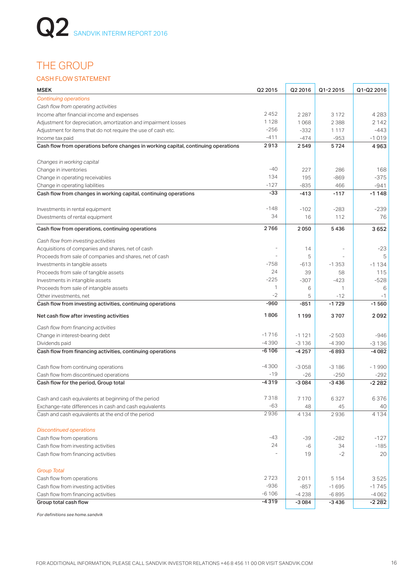## THE GROUP

### CASH FLOW STATEMENT

| MSEK                                                                               | Q2 2015 | Q2 2016 | Q1-2 2015                | Q1-Q2 2016 |
|------------------------------------------------------------------------------------|---------|---------|--------------------------|------------|
| <b>Continuing operations</b>                                                       |         |         |                          |            |
| Cash flow from operating activities                                                |         |         |                          |            |
| Income after financial income and expenses                                         | 2452    | 2 2 8 7 | 3 1 7 2                  | 4 2 8 3    |
| Adjustment for depreciation, amortization and impairment losses                    | 1128    | 1068    | 2 3 8 8                  | 2 142      |
| Adjustment for items that do not require the use of cash etc.                      | $-256$  | $-332$  | 1 1 1 7                  | -443       |
| Income tax paid                                                                    | $-411$  | $-474$  | $-953$                   | $-1019$    |
| Cash flow from operations before changes in working capital, continuing operations | 2913    | 2549    | 5724                     | 4963       |
| Changes in working capital                                                         |         |         |                          |            |
| Change in inventories                                                              | $-40$   | 227     | 286                      | 168        |
| Change in operating receivables                                                    | 134     | 195     | $-869$                   | $-375$     |
| Change in operating liabilities                                                    | $-127$  | $-835$  | 466                      | -941       |
| Cash flow from changes in working capital, continuing operations                   | -33     | $-413$  | $-117$                   | $-1148$    |
| Investments in rental equipment                                                    | $-148$  | $-102$  | $-283$                   | $-239$     |
| Divestments of rental equipment                                                    | 34      | 16      | 112                      | 76         |
| Cash flow from operations, continuing operations                                   | 2766    | 2050    | 5436                     | 3652       |
| Cash flow from investing activities                                                |         |         |                          |            |
| Acquisitions of companies and shares, net of cash                                  |         | 14      | $\overline{\phantom{a}}$ | $-23$      |
| Proceeds from sale of companies and shares, net of cash                            |         | 5       |                          | 5          |
| Investments in tangible assets                                                     | -758    | $-613$  | $-1353$                  | $-1134$    |
| Proceeds from sale of tangible assets                                              | 24      | 39      | 58                       | 115        |
| Investments in intangible assets                                                   | $-225$  | $-307$  | $-423$                   | $-528$     |
| Proceeds from sale of intangible assets                                            | 1       | 6       | 1                        | 6          |
| Other investments, net                                                             | $-2$    | 5       | $-12$                    | $-1$       |
| Cash flow from investing activities, continuing operations                         | -960    | $-851$  | $-1729$                  | $-1560$    |
| Net cash flow after investing activities                                           | 1806    | 1 1 9 9 | 3707                     | 2092       |
| Cash flow from financing activities                                                |         |         |                          |            |
| Change in interest-bearing debt                                                    | $-1716$ | $-1121$ | $-2503$                  | $-946$     |
| Dividends paid                                                                     | $-4390$ | $-3136$ | $-4390$                  | $-3136$    |
| Cash flow from financing activities, continuing operations                         | $-6106$ | $-4257$ | -6893                    | $-4082$    |
| Cash flow from continuing operations                                               | $-4300$ | $-3058$ | $-3186$                  | $-1990$    |
| Cash flow from discontinued operations                                             | $-19$   | $-26$   | $-250$                   | $-292$     |
| Cash flow for the period, Group total                                              | $-4319$ | $-3084$ | -3436                    | $-2282$    |
| Cash and cash equivalents at beginning of the period                               | 7 318   | 7 1 7 0 | 6327                     | 6376       |
| Exchange-rate differences in cash and cash equivalents                             | $-63$   | 48      | 45                       | 40         |
| Cash and cash equivalents at the end of the period                                 | 2936    | 4 1 3 4 | 2936                     | 4 1 3 4    |
| <b>Discontinued operations</b>                                                     |         |         |                          |            |
| Cash flow from operations                                                          | -43     | -39     | $-282$                   | $-127$     |
| Cash flow from investing activities                                                | 24      | $-6$    | 34                       | $-185$     |
| Cash flow from financing activities                                                |         | 19      | $-2$                     | 20         |
| <b>Group Total</b>                                                                 |         |         |                          |            |
| Cash flow from operations                                                          | 2723    | 2011    | 5 1 5 4                  | 3525       |
| Cash flow from investing activities                                                | $-936$  | $-857$  | $-1695$                  | $-1745$    |
| Cash flow from financing activities                                                | $-6106$ | $-4238$ | $-6895$                  | $-4062$    |
| Group total cash flow                                                              | $-4319$ | $-3084$ | $-3436$                  | $-2282$    |

*For definitions see home.sandvik*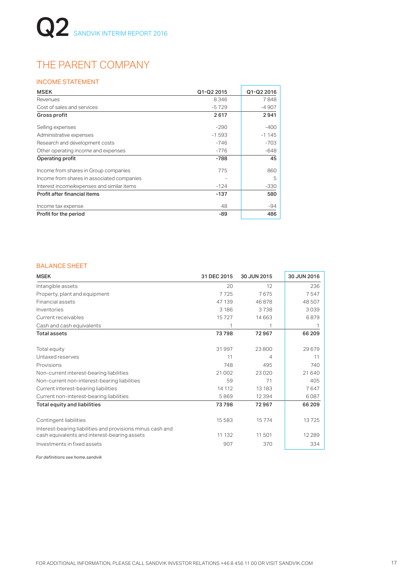## THE PARENT COMPANY

### INCOME STATEMENT

| <b>MSEK</b>                                | Q1-Q2 2015 | Q1-Q2 2016 |
|--------------------------------------------|------------|------------|
| Revenues                                   | 8346       | 7848       |
| Cost of sales and services                 | $-5729$    | $-4907$    |
| Gross profit                               | 2617       | 2941       |
| Selling expenses                           | $-290$     | $-400$     |
| Administrative expenses                    | $-1593$    | $-1145$    |
| Research and development costs             | $-746$     | $-703$     |
| Other operating income and expenses        | $-776$     | $-648$     |
| Operating profit                           | -788       | 45         |
| Income from shares in Group companies      | 775        | 860        |
| Income from shares in associated companies |            | 5          |
| Interest income/expenses and similar items | $-124$     | $-330$     |
| Profit after financial items               | -137       | 580        |
| Income tax expense                         | 48         | $-94$      |
| Profit for the period                      | -89        | 486        |

### BALANCE SHEET

| <b>MSEK</b>                                                                                                | 31 DEC 2015 | 30 JUN 2015 | 30 JUN 2016 |
|------------------------------------------------------------------------------------------------------------|-------------|-------------|-------------|
| Intangible assets                                                                                          | 20          | 12          | 236         |
| Property, plant and equipment                                                                              | 7725        | 7675        | 7547        |
| Financial assets                                                                                           | 47 139      | 46878       | 48507       |
| Inventories                                                                                                | 3 1 8 6     | 3738        | 3039        |
| Current receivables                                                                                        | 15727       | 14 663      | 6879        |
| Cash and cash equivalents                                                                                  | 1           | 1           | 1           |
| <b>Total assets</b>                                                                                        | 73798       | 72967       | 66 209      |
| Total equity                                                                                               | 31997       | 23800       | 29679       |
| Untaxed reserves                                                                                           | 11          | 4           | 11          |
| Provisions                                                                                                 | 748         | 495         | 740         |
| Non-current interest-bearing liabilities                                                                   | 21 002      | 23020       | 21 640      |
| Non-current non-interest-bearing liabilities                                                               | 59          | 71          | 405         |
| Current interest-bearing liabilities                                                                       | 14 112      | 13 183      | 7647        |
| Current non-interest-bearing liabilities                                                                   | 5869        | 12 3 9 4    | 6087        |
| <b>Total equity and liabilities</b>                                                                        | 73798       | 72967       | 66 209      |
| Contingent liabilities                                                                                     | 15 5 8 3    | 15774       | 13725       |
| Interest-bearing liabilities and provisions minus cash and<br>cash equivalents and interest-bearing assets | 11 132      | 11 501      | 12 2 8 9    |
| Investments in fixed assets                                                                                | 907         | 370         | 334         |

*For definitions see home.sandvik*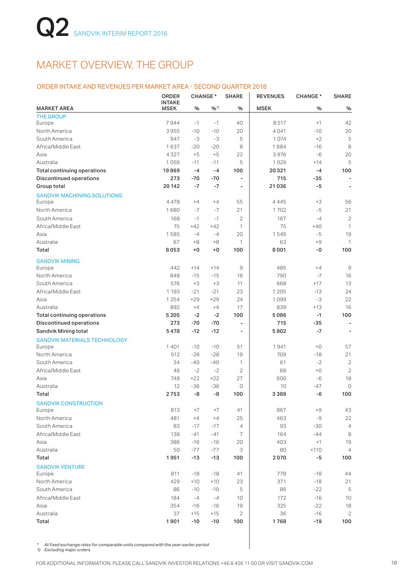## MARKET OVERVIEW, THE GROUP

### ORDER INTAKE AND REVENUES PER MARKET AREA - SECOND QUARTER 2016

|                                     | <b>ORDER</b><br><b>INTAKE</b> | <b>CHANGE*</b> |            | <b>SHARE</b>             | <b>REVENUES</b> | <b>CHANGE*</b> | <b>SHARE</b>             |
|-------------------------------------|-------------------------------|----------------|------------|--------------------------|-----------------|----------------|--------------------------|
| <b>MARKET AREA</b>                  | <b>MSEK</b>                   | $\%$           | $9/0^{11}$ | %                        | <b>MSEK</b>     | %              | %                        |
| <b>THE GROUP</b>                    |                               |                |            |                          |                 |                |                          |
| Europe                              | 7944                          | $-1$           | $-1$       | 40                       | 8517            | $+1$           | 42                       |
| North America                       | 3955                          | $-10$          | $-10$      | 20                       | 4041            | $-10$          | 20                       |
| South America                       | 947                           | $-3$           | -3         | 5                        | 1074            | $+2$           | 5                        |
| Africa/Middle East                  | 1637                          | $-20$          | $-20$      | 8                        | 1684            | $-16$          | 8                        |
| Asia                                | 4327                          | $+5$           | $+5$       | 22                       | 3976            | -6             | 20                       |
| Australia                           | 1059                          | $-11$          | $-11$      | 5                        | 1029            | $+14$          | 5                        |
| <b>Total continuing operations</b>  | 19869                         | $-4$           | $-4$       | 100                      | 20321           | $-4$           | 100                      |
| <b>Discontinued operations</b>      | 273                           | -70            | $-70$      | $\blacksquare$           | 715             | $-35$          |                          |
| Group total                         | 20 142                        | $-7$           | $-7$       | $\overline{a}$           | 21036           | -5             |                          |
| <b>SANDVIK MACHINING SOLUTIONS</b>  |                               |                |            |                          |                 |                |                          |
| Europe                              | 4478                          | $+4$           | $+4$       | 55                       | 4445            | $+3$           | 56                       |
| North America                       | 1680                          | $-7$           | $-7$       | 21                       | 1702            | $-5$           | 21                       |
| South America                       | 168                           | $-1$           | $-1$       | $\mathbf{2}$             | 167             | $-4$           | $\overline{2}$           |
| Africa/Middle East                  | 75                            | $+42$          | $+42$      | 1                        | 75              | $+40$          | 1                        |
| Asia                                | 1585                          | $-4$           | $-4$       | 20                       | 1549            | -5             | 19                       |
| Australia                           | 67                            | $+8$           | $+8$       | 1                        | 63              | $+9$           | 1                        |
| Total                               | 8053                          | $+0$           | +0         | 100                      | 8001            | -0             | 100                      |
| <b>SANDVIK MINING</b>               |                               |                |            |                          |                 |                |                          |
| Europe                              | 442                           | $+14$          | $+14$      | 9                        | 485             | $+4$           | 9                        |
| North America                       | 848                           | $-15$          | $-15$      | 16                       | 790             | $-7$           | 16                       |
| South America                       | 576                           | $+3$           | $+3$       | 11                       | 668             | $+17$          | 13                       |
| Africa/Middle East                  | 1 1 9 3                       | $-21$          | $-21$      | 23                       | 1 2 0 5         | $-13$          | 24                       |
| Asia                                | 1 2 5 4                       | $+29$          | $+29$      | 24                       | 1099            | $-3$           | 22                       |
| Australia                           | 892                           | $+4$           | $+4$       | 17                       | 839             | $+13$          | 16                       |
| <b>Total continuing operations</b>  | 5 2 0 5                       | $-2$           | $-2$       | 100                      | 5086            | $-1$           | 100                      |
| <b>Discontinued operations</b>      | 273                           | -70            | $-70$      | $\overline{a}$           | 715             | $-35$          | $\overline{\phantom{a}}$ |
| Sandvik Mining total                | 5478                          | $-12$          | $-12$      | $\overline{\phantom{0}}$ | 5802            | $-7$           | ٠                        |
| <b>SANDVIK MATERIALS TECHNOLOGY</b> |                               |                |            |                          |                 |                |                          |
| Europe                              | 1401                          | $-10$          | $-10$      | 51                       | 1941            | $+0$           | 57                       |
| North America                       | 512                           | $-28$          | $-28$      | 19                       | 709             | $-18$          | 21                       |
| South America                       | 34                            | $-40$          | $-40$      | 1                        | 61              | $-2$           | $\overline{2}$           |
| Africa/Middle East                  | 46                            | $-2$           | $-2$       | $\mathbf{2}$             | 68              | $+0$           | $\overline{2}$           |
| Asia                                | 748                           | $+22$          | $+22$      | 27                       | 600             | $-6$           | 18                       |
| Australia                           | 12                            | $-36$          | $-36$      | 0                        | 10              | $-47$          | 0                        |
| Total                               | 2753                          | -8             | -8         | 100                      | 3389            | -6             | 100                      |
| <b>SANDVIK CONSTRUCTION</b>         |                               |                | $+7$       |                          |                 | $+9$           |                          |
| Europe                              | 813                           | $+7$           |            | 41                       | 867             |                | 43                       |
| North America                       | 481                           | $+4$           | $+4$       | 25                       | 463             | -9             | 22                       |
| South America                       | 83                            | $-17$          | $-17$      | $\overline{4}$           | 93              | $-30$          | $\overline{4}$           |
| Africa/Middle East                  | 138                           | -41            | -41        | 7                        | 164             | $-44$          | 8                        |
| Asia                                | 386                           | $-16$          | $-16$      | 20                       | 403             | $+1$           | 19                       |
| Australia                           | 50                            | $-77$          | $-77$      | 3                        | 80              | $+110$         | $\overline{4}$           |
| Total                               | 1951                          | $-13$          | $-13$      | 100                      | 2070            | -5             | 100                      |
| <b>SANDVIK VENTURE</b>              |                               |                |            |                          |                 |                |                          |
| Europe                              | 811                           | $-18$          | $-18$      | 41                       | 778             | -18            | 44                       |
| North America<br>South America      | 429                           | $+10$          | $+10$      | 23                       | 371             | $-18$          | 21<br>5                  |
|                                     | 86                            | $-10$          | $-10$      | 5                        | 86              | $-22$          |                          |
| Africa/Middle East                  | 184                           | $-4$           | $-4$       | 10                       | 172             | $-16$          | 10                       |
| Asia                                | 354                           | $-16$          | $-16$      | 19                       | 325             | $-22$          | 18                       |
| Australia                           | 37                            | $+15$          | $+15$      | $\mathbf{2}$             | 36              | $-16$          | 2                        |
| Total                               | 1901                          | $-10$          | $-10$      | 100                      | 1768            | -19            | 100                      |

*\* At fixed exchange rates for comparable units compared with the year-earlier period*

*1) Excluding major orders*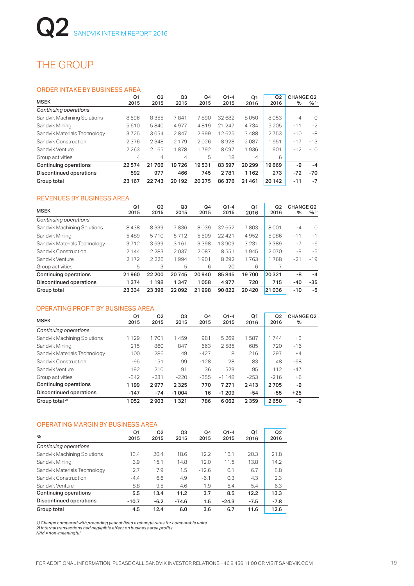## THE GROUP

### ORDER INTAKE BY BUSINESS AREA

|                              | Q <sub>1</sub> | Q2      | Q3      | Q4     | $Q1-4$ | Q1             | Q <sub>2</sub> | <b>CHANGE Q2</b> |                     |
|------------------------------|----------------|---------|---------|--------|--------|----------------|----------------|------------------|---------------------|
| <b>MSEK</b>                  | 2015           | 2015    | 2015    | 2015   | 2015   | 2016           | 2016           | $\%$             | $9/6$ <sup>1)</sup> |
| Continuing operations        |                |         |         |        |        |                |                |                  |                     |
| Sandvik Machining Solutions  | 8596           | 8355    | 7841    | 7890   | 32682  | 8050           | 8053           | $-4$             | $\Omega$            |
| Sandvik Mining               | 5610           | 5840    | 4977    | 4819   | 21 247 | 4734           | 5 2 0 5        | $-11$            | $-2$                |
| Sandvik Materials Technology | 3725           | 3054    | 2847    | 2999   | 12625  | 3488           | 2753           | $-10$            | -8                  |
| Sandvik Construction         | 2376           | 2348    | 2 1 7 9 | 2026   | 8928   | 2087           | 951            | $-17$            | $-13$               |
| Sandvik Venture              | 2 2 6 3        | 2 1 6 5 | 1878    | 1792   | 8097   | 1936           | 901            | $-12$            | $-10$               |
| Group activities             | 4              | 4       | 4       | 5      | 18     | $\overline{4}$ | 6              |                  |                     |
| Continuing operations        | 22574          | 21766   | 19726   | 19531  | 83 597 | 20 29 9        | 19869          | -9               | $-4$                |
| Discontinued operations      | 592            | 977     | 466     | 745    | 2781   | 1162           | 273            | $-72$            | $-70$               |
| Group total                  | 23 167         | 22743   | 20 19 2 | 20 275 | 86378  | 21461          | 20 14 2        | $-11$            | $-7$                |

### REVENUES BY BUSINESS AREA

| <b>MSEK</b>                    | Q <sub>1</sub><br>2015 | Q <sub>2</sub><br>2015 | Q3<br>2015 | Q4<br>2015 | $Q1 - 4$<br>2015 | Q1<br>2016 | Q <sub>2</sub><br>2016 | <b>CHANGE Q2</b><br>$\%$ | $9/6$ <sup>1)</sup> |
|--------------------------------|------------------------|------------------------|------------|------------|------------------|------------|------------------------|--------------------------|---------------------|
| Continuing operations          |                        |                        |            |            |                  |            |                        |                          |                     |
| Sandvik Machining Solutions    | 8438                   | 8339                   | 7836       | 8039       | 32652            | 7803       | 8001                   | $-4$                     | $\Omega$            |
| Sandvik Mining                 | 5489                   | 5710                   | 5712       | 5509       | 22 4 21          | 4952       | 5086                   | $-11$                    | $-1$                |
| Sandvik Materials Technology   | 3712                   | 3639                   | 3 1 6 1    | 3398       | 13909            | 3 2 3 1    | 3389                   | $-7$                     | $-6$                |
| Sandvik Construction           | 2 1 4 4                | 2 2 8 3                | 2037       | 2087       | 8551             | 1945       | 2070                   | $-9$                     | $-5$                |
| Sandvik Venture                | 2 1 7 2                | 2226                   | 1994       | 1901       | 8 2 9 2          | 1763       | 1768                   | $-21$                    | $-19$               |
| Group activities               | 5                      | 3                      | 5          | 6          | 20               | 6          |                        |                          |                     |
| Continuing operations          | 21960                  | 22 200                 | 20745      | 20940      | 85845            | 19700      | 20321                  | -8                       | $-4$                |
| <b>Discontinued operations</b> | 1374                   | 1 1 9 8                | 1347       | 1058       | 4977             | 720        | 715                    | $-40$                    | $-35$               |
| Group total                    | 23 3 34                | 23 398                 | 22092      | 998<br>21  | 90822            | 20420      | 21 036                 | $-10$                    | $-5$                |

### OPERATING PROFIT BY BUSINESS AREA

| <b>MSEK</b>                    | Q1<br>2015 | Q <sub>2</sub><br>2015 | Q3<br>2015 | Q4<br>2015 | $Q1 - 4$<br>2015 | Q <sub>1</sub><br>2016 | Q2<br>2016 | <b>CHANGE Q2</b><br>% |
|--------------------------------|------------|------------------------|------------|------------|------------------|------------------------|------------|-----------------------|
| Continuing operations          |            |                        |            |            |                  |                        |            |                       |
| Sandvik Machining Solutions    | 1 1 2 9    | 1701                   | 1459       | 981        | 5 2 6 9          | 1587                   | 1744       | $+3$                  |
| Sandvik Mining                 | 215        | 860                    | 847        | 663        | 2585             | 685                    | 720        | $-16$                 |
| Sandvik Materials Technology   | 100        | 286                    | 49         | $-427$     | 8                | 216                    | 297        | $+4$                  |
| Sandvik Construction           | $-95$      | 151                    | 99         | $-128$     | 28               | 83                     | 48         | -68                   |
| Sandvik Venture                | 192        | 210                    | 91         | 36         | 529              | 95                     | 112        | $-47$                 |
| Group activities               | $-342$     | $-231$                 | $-220$     | $-355$     | $-1148$          | $-253$                 | $-216$     | $+6$                  |
| Continuing operations          | 1199       | 2977                   | 2 3 2 5    | 770        | 7 2 7 1          | 2413                   | 2705       | -9                    |
| <b>Discontinued operations</b> | $-147$     | $-74$                  | $-1004$    | 16         | $-1209$          | $-54$                  | $-55$      | $+25$                 |
| Group total <sup>2)</sup>      | 1052       | 2903                   | 1321       | 786        | 6062             | 2359                   | 2650       | -9                    |

### OPERATING MARGIN BY BUSINESS AREA

| $\%$                         | Q <sub>1</sub><br>2015 | Q2<br>2015 | Q3<br>2015 | Q4<br>2015 | $Q1 - 4$<br>2015 | Q1<br>2016 | Q <sub>2</sub><br>2016 |
|------------------------------|------------------------|------------|------------|------------|------------------|------------|------------------------|
| Continuing operations        |                        |            |            |            |                  |            |                        |
| Sandvik Machining Solutions  | 13.4                   | 20.4       | 18.6       | 12.2       | 16.1             | 20.3       | 21.8                   |
| Sandvik Mining               | 3.9                    | 15.1       | 14.8       | 12.0       | 11.5             | 13.8       | 14.2                   |
| Sandvik Materials Technology | 2.7                    | 7.9        | 1.5        | $-12.6$    | 0.1              | 6.7        | 8.8                    |
| Sandvik Construction         | $-4.4$                 | 6.6        | 4.9        | $-6.1$     | 0.3              | 4.3        | 2.3                    |
| Sandvik Venture              | 8.8                    | 9.5        | 4.6        | 1.9        | 6.4              | 5.4        | 6.3                    |
| Continuing operations        | 5.5                    | 13.4       | 11.2       | 3.7        | 8.5              | 12.2       | 13.3                   |
| Discontinued operations      | $-10.7$                | $-6.2$     | $-74.6$    | 1.5        | $-24.3$          | $-7.5$     | $-7.8$                 |
| Group total                  | 4.5                    | 12.4       | 6.0        | 3.6        | 6.7              | 11.6       | 12.6                   |

*1) Change compared with preceding year at fixed exchange rates for comparable units 2) Internal transactions had negligible effect on business area profits N/M = non-meaningful*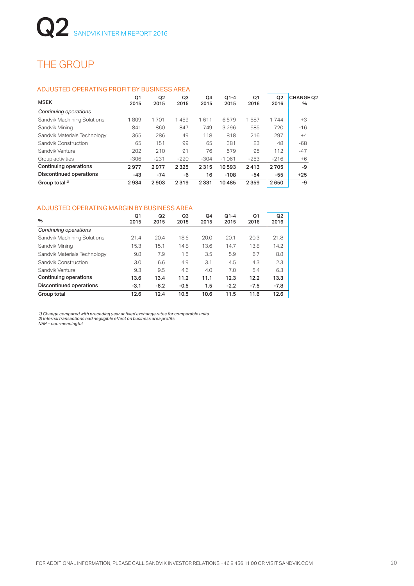## THE GROUP

### ADJUSTED OPERATING PROFIT BY BUSINESS AREA

| <b>MSEK</b>                    | Q1<br>2015 | Q2<br>2015 | Q3<br>2015 | Q4<br>2015 | $Q1-4$<br>2015 | Q1<br>2016 | Q2<br>2016 | <b>CHANGE Q2</b><br>% |
|--------------------------------|------------|------------|------------|------------|----------------|------------|------------|-----------------------|
| Continuing operations          |            |            |            |            |                |            |            |                       |
| Sandvik Machining Solutions    | 1809       | 1701       | 1459       | 1611       | 6579           | 1587       | 1744       | $+3$                  |
| Sandvik Mining                 | 841        | 860        | 847        | 749        | 3 2 9 6        | 685        | 720        | $-16$                 |
| Sandvik Materials Technology   | 365        | 286        | 49         | 118        | 818            | 216        | 297        | $+4$                  |
| Sandvik Construction           | 65         | 151        | 99         | 65         | 381            | 83         | 48         | -68                   |
| Sandvik Venture                | 202        | 210        | 91         | 76         | 579            | 95         | 112        | $-47$                 |
| Group activities               | $-306$     | $-231$     | $-220$     | $-304$     | $-1061$        | $-253$     | $-216$     | $+6$                  |
| <b>Continuing operations</b>   | 2977       | 2977       | 2325       | 2315       | 10593          | 2413       | 2705       | -9                    |
| <b>Discontinued operations</b> | $-43$      | $-74$      | -6         | 16         | $-108$         | $-54$      | $-55$      | $+25$                 |
| Group total $2$                | 2934       | 2903       | 2319       | 2 3 3 1    | 10485          | 2359       | 2650       | -9                    |

### ADJUSTED OPERATING MARGIN BY BUSINESS AREA

| $\%$                           | Q <sub>1</sub><br>2015 | Q2<br>2015 | Q3<br>2015 | Q4<br>2015 | $Q1-4$<br>2015 | Q1<br>2016 | Q <sub>2</sub><br>2016 |
|--------------------------------|------------------------|------------|------------|------------|----------------|------------|------------------------|
| Continuing operations          |                        |            |            |            |                |            |                        |
| Sandvik Machining Solutions    | 21.4                   | 20.4       | 18.6       | 20.0       | 20.1           | 20.3       | 21.8                   |
| Sandvik Mining                 | 15.3                   | 15.1       | 14.8       | 13.6       | 14.7           | 13.8       | 14.2                   |
| Sandvik Materials Technology   | 9.8                    | 7.9        | 1.5        | 3.5        | 5.9            | 6.7        | 8.8                    |
| Sandvik Construction           | 3.0                    | 6.6        | 4.9        | 3.1        | 4.5            | 4.3        | 2.3                    |
| Sandvik Venture                | 9.3                    | 9.5        | 4.6        | 4.0        | 7.0            | 5.4        | 6.3                    |
| Continuing operations          | 13.6                   | 13.4       | 11.2       | 11.1       | 12.3           | 12.2       | 13.3                   |
| <b>Discontinued operations</b> | $-3.1$                 | $-6.2$     | $-0.5$     | 1.5        | $-2.2$         | $-7.5$     | $-7.8$                 |
| Group total                    | 12.6                   | 12.4       | 10.5       | 10.6       | 11.5           | 11.6       | 12.6                   |

*1) Change compared with preceding year at fixed exchange rates for comparable units 2) Internal transactions had negligible effect on business area profits N/M = non-meaningful*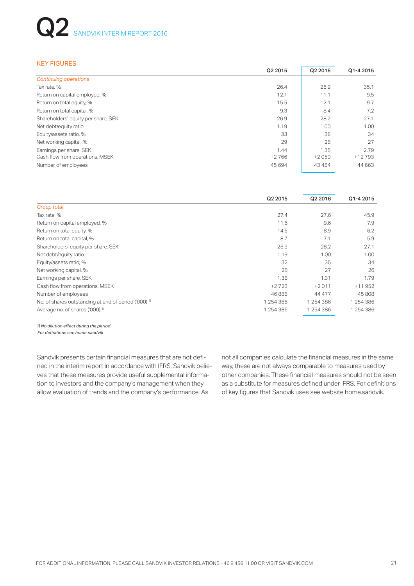# SANDVIK INTERIM REPORT 2016

### KEY FIGURES

|                                     | Q2 2015 | Q2 2016 | Q1-4 2015 |
|-------------------------------------|---------|---------|-----------|
| <b>Continuing operations</b>        |         |         |           |
| Tax rate, %                         | 26.4    | 26.9    | 35.1      |
| Return on capital employed, %       | 12.1    | 11.1    | 9.5       |
| Return on total equity, %           | 15.5    | 12.1    | 9.7       |
| Return on total capital, %          | 9.3     | 8.4     | 7.2       |
| Shareholders' equity per share, SEK | 26.9    | 28.2    | 27.1      |
| Net debt/equity ratio               | 1.19    | 1.00    | 1.00      |
| Equity/assets ratio, %              | 33      | 36      | 34        |
| Net working capital, %              | 29      | 28      | 27        |
| Earnings per share, SEK             | 1.44    | 1.35    | 2.79      |
| Cash flow from operations, MSEK     | $+2766$ | $+2050$ | $+12793$  |
| Number of employees                 | 45 694  | 43484   | 44 6 63   |

|                                                                 | Q2 2015   | Q2 2016   | Q1-4 2015 |  |  |
|-----------------------------------------------------------------|-----------|-----------|-----------|--|--|
| Group total                                                     |           |           |           |  |  |
| Tax rate, %                                                     | 27.4      | 27.6      | 45.9      |  |  |
| Return on capital employed, %                                   | 11.6      | 9.6       | 7.9       |  |  |
| Return on total equity, %                                       | 14.5      | 8.9       | 6.2       |  |  |
| Return on total capital, %                                      | 8.7       | 7.1       | 5.9       |  |  |
| Shareholders' equity per share, SEK                             | 26.9      | 28.2      | 27.1      |  |  |
| Net debt/equity ratio                                           | 1.19      | 1.00      | 1.00      |  |  |
| Equity/assets ratio, %                                          | 32        | 35        | 34        |  |  |
| Net working capital, %                                          | 28        | 27        | 26        |  |  |
| Earnings per share, SEK                                         | 1.38      | 1.31      | 1.79      |  |  |
| Cash flow from operations, MSEK                                 | $+2723$   | $+2011$   | $+11952$  |  |  |
| Number of employees                                             | 46888     | 44 477    | 45 808    |  |  |
| No. of shares outstanding at end of period ('000) <sup>1)</sup> | 1 254 386 | 1 254 386 | 1 254 386 |  |  |
| Average no. of shares ('000) <sup>1)</sup>                      | 1 254 386 | 1 254 386 | 1 254 386 |  |  |

*1) No dilution effect during the period. For definitions see home.sandvik*

Sandvik presents certain financial measures that are not defined in the interim report in accordance with IFRS. Sandvik believes that these measures provide useful supplemental information to investors and the company's management when they allow evaluation of trends and the company's performance. As

not all companies calculate the financial measures in the same way, these are not always comparable to measures used by other companies. These financial measures should not be seen as a substitute for measures defined under IFRS. For definitions of key figures that Sandvik uses see website home.sandvik.